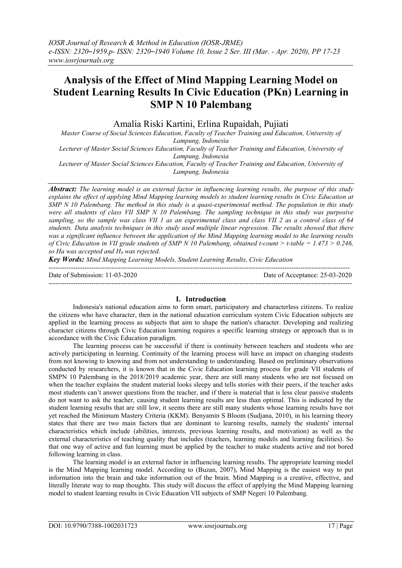## **Analysis of the Effect of Mind Mapping Learning Model on Student Learning Results In Civic Education (PKn) Learning in SMP N 10 Palembang**

Amalia Riski Kartini, Erlina Rupaidah, Pujiati

*Master Course of Social Sciences Education, Faculty of Teacher Training and Education, University of Lampung, Indonesia*

*Lecturer of Master Social Sciences Education, Faculty of Teacher Training and Education, University of Lampung, Indonesia*

*Lecturer of Master Social Sciences Education, Faculty of Teacher Training and Education, University of Lampung, Indonesia*

*Abstract: The learning model is an external factor in influencing learning results, the purpose of this study explains the effect of applying Mind Mapping learning models to student learning results in Civic Education at SMP N 10 Palembang. The method in this study is a quasi-experimental method. The population in this study were all students of class VII SMP N 10 Palembang. The sampling technique in this study was purposive sampling, so the sample was class VII 1 as an experimental class and class VII 2 as a control class of 64 students. Data analysis techniques in this study used multiple linear regression. The results showed that there was a significant influence between the application of the Mind Mapping learning model to the learning results of Civic Education in VII grade students of SMP N 10 Palembang, obtained t-count > t-table = 1.473 > 0.246, so Ha was accepted and H0 was rejected.*

*Key Words: Mind Mapping Learning Models, Student Learning Results, Civic Education*

Date of Submission: 11-03-2020 Date of Acceptance: 25-03-2020

---------------------------------------------------------------------------------------------------------------------------------------

#### **I. Introduction**

--------------------------------------------------------------------------------------------------------------------------------------

Indonesia's national education aims to form smart, participatory and characterless citizens. To realize the citizens who have character, then in the national education curriculum system Civic Education subjects are applied in the learning process as subjects that aim to shape the nation's character. Developing and realizing character citizens through Civic Education learning requires a specific learning strategy or approach that is in accordance with the Civic Education paradigm.

The learning process can be successful if there is continuity between teachers and students who are actively participating in learning. Continuity of the learning process will have an impact on changing students from not knowing to knowing and from not understanding to understanding. Based on preliminary observations conducted by researchers, it is known that in the Civic Education learning process for grade VII students of SMPN 10 Palembang in the 2018/2019 academic year, there are still many students who are not focused on when the teacher explains the student material looks sleepy and tells stories with their peers, if the teacher asks most students can't answer questions from the teacher, and if there is material that is less clear passive students do not want to ask the teacher, causing student learning results are less than optimal. This is indicated by the student learning results that are still low, it seems there are still many students whose learning results have not yet reached the Minimum Mastery Criteria (KKM). Benyamin S Bloom (Sudjana, 2010), in his learning theory states that there are two main factors that are dominant to learning results, namely the students' internal characteristics which include (abilities, interests, previous learning results, and motivation) as well as the external characteristics of teaching quality that includes (teachers, learning models and learning facilities). So that one way of active and fun learning must be applied by the teacher to make students active and not bored following learning in class.

The learning model is an external factor in influencing learning results. The appropriate learning model is the Mind Mapping learning model. According to (Buzan, 2007), Mind Mapping is the easiest way to put information into the brain and take information out of the brain. Mind Mapping is a creative, effective, and literally literate way to map thoughts. This study will discuss the effect of applying the Mind Mapping learning model to student learning results in Civic Education VII subjects of SMP Negeri 10 Palembang.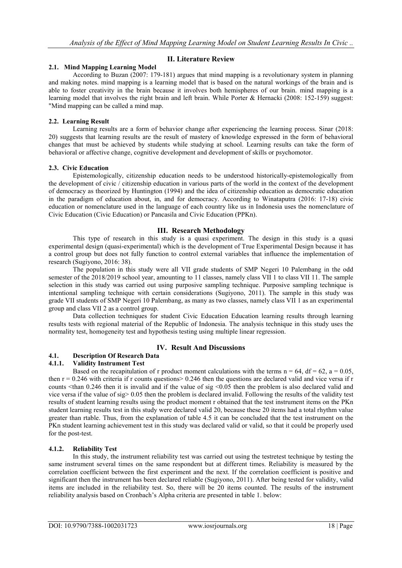## **II. Literature Review**

## **2.1. Mind Mapping Learning Model**

According to Buzan (2007: 179-181) argues that mind mapping is a revolutionary system in planning and making notes. mind mapping is a learning model that is based on the natural workings of the brain and is able to foster creativity in the brain because it involves both hemispheres of our brain. mind mapping is a learning model that involves the right brain and left brain. While Porter & Hernacki (2008: 152-159) suggest: "Mind mapping can be called a mind map.

#### **2.2. Learning Result**

Learning results are a form of behavior change after experiencing the learning process. Sinar (2018: 20) suggests that learning results are the result of mastery of knowledge expressed in the form of behavioral changes that must be achieved by students while studying at school. Learning results can take the form of behavioral or affective change, cognitive development and development of skills or psychomotor.

#### **2.3. Civic Education**

Epistemologically, citizenship education needs to be understood historically-epistemologically from the development of civic / citizenship education in various parts of the world in the context of the development of democracy as theorized by Huntington (1994) and the idea of citizenship education as democratic education in the paradigm of education about, in, and for democracy. According to Winataputra (2016: 17-18) civic education or nomenclature used in the language of each country like us in Indonesia uses the nomenclature of Civic Education (Civic Education) or Pancasila and Civic Education (PPKn).

#### **III. Research Methodology**

This type of research in this study is a quasi experiment. The design in this study is a quasi experimental design (quasi-experimental) which is the development of True Experimental Design because it has a control group but does not fully function to control external variables that influence the implementation of research (Sugiyono, 2016: 38).

The population in this study were all VII grade students of SMP Negeri 10 Palembang in the odd semester of the 2018/2019 school year, amounting to 11 classes, namely class VII 1 to class VII 11. The sample selection in this study was carried out using purposive sampling technique. Purposive sampling technique is intentional sampling technique with certain considerations (Sugiyono, 2011). The sample in this study was grade VII students of SMP Negeri 10 Palembang, as many as two classes, namely class VII 1 as an experimental group and class VII 2 as a control group.

Data collection techniques for student Civic Education Education learning results through learning results tests with regional material of the Republic of Indonesia. The analysis technique in this study uses the normality test, homogeneity test and hypothesis testing using multiple linear regression.

## **IV. Result And Discussions**

## **4.1. Description Of Research Data**

## **4.1.1. Validity Instrument Test**

Based on the recapitulation of r product moment calculations with the terms  $n = 64$ ,  $df = 62$ ,  $a = 0.05$ , then  $r = 0.246$  with criteria if r counts questions  $> 0.246$  then the questions are declared valid and vice versa if r counts <than 0.246 then it is invalid and if the value of sig <0.05 then the problem is also declared valid and vice versa if the value of sig> 0.05 then the problem is declared invalid. Following the results of the validity test results of student learning results using the product moment r obtained that the test instrument items on the PKn student learning results test in this study were declared valid 20, because these 20 items had a total rhythm value greater than rtable. Thus, from the explanation of table 4.5 it can be concluded that the test instrument on the PKn student learning achievement test in this study was declared valid or valid, so that it could be properly used for the post-test.

## **4.1.2. Reliability Test**

In this study, the instrument reliability test was carried out using the testretest technique by testing the same instrument several times on the same respondent but at different times. Reliability is measured by the correlation coefficient between the first experiment and the next. If the correlation coefficient is positive and significant then the instrument has been declared reliable (Sugiyono, 2011). After being tested for validity, valid items are included in the reliability test. So, there will be 20 items counted. The results of the instrument reliability analysis based on Cronbach's Alpha criteria are presented in table 1. below: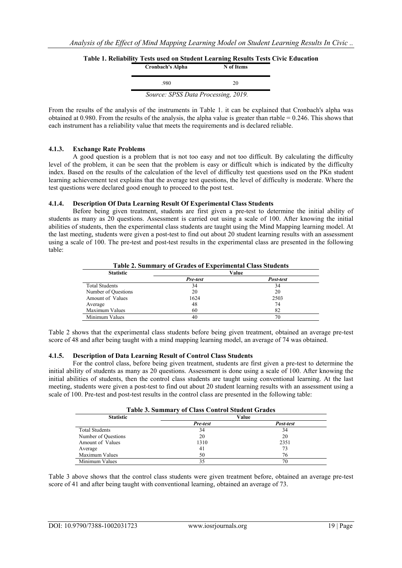| лигу темя имей он этичент шеагинің кемпія темя с |            |  |  |
|--------------------------------------------------|------------|--|--|
| <b>Cronbach's Alpha</b>                          | N of Items |  |  |
| .980                                             | 20         |  |  |
| Source: SPSS Data Processing, 2019.              |            |  |  |

**Table 1. Reliability Tests used on Student Learning Results Tests Civic Education**

From the results of the analysis of the instruments in Table 1. it can be explained that Cronbach's alpha was obtained at 0.980. From the results of the analysis, the alpha value is greater than rtable = 0.246. This shows that each instrument has a reliability value that meets the requirements and is declared reliable.

## **4.1.3. Exchange Rate Problems**

A good question is a problem that is not too easy and not too difficult. By calculating the difficulty level of the problem, it can be seen that the problem is easy or difficult which is indicated by the difficulty index. Based on the results of the calculation of the level of difficulty test questions used on the PKn student learning achievement test explains that the average test questions, the level of difficulty is moderate. Where the test questions were declared good enough to proceed to the post test.

## **4.1.4. Description Of Data Learning Result Of Experimental Class Students**

Before being given treatment, students are first given a pre-test to determine the initial ability of students as many as 20 questions. Assessment is carried out using a scale of 100. After knowing the initial abilities of students, then the experimental class students are taught using the Mind Mapping learning model. At the last meeting, students were given a post-test to find out about 20 student learning results with an assessment using a scale of 100. The pre-test and post-test results in the experimental class are presented in the following table:

**Table 2. Summary of Grades of Experimental Class Students**

| <b>Statistic</b>      | Value    |           |  |
|-----------------------|----------|-----------|--|
|                       | Pre-test | Post-test |  |
| <b>Total Students</b> | 34       | 34        |  |
| Number of Questions   | 20       | 20        |  |
| Amount of Values      | 1624     | 2503      |  |
| Average               | 48       | 74        |  |
| Maximum Values        | 60       | 82        |  |
| Minimum Values        | 40       | 70        |  |

Table 2 shows that the experimental class students before being given treatment, obtained an average pre-test score of 48 and after being taught with a mind mapping learning model, an average of 74 was obtained.

## **4.1.5. Description of Data Learning Result of Control Class Students**

For the control class, before being given treatment, students are first given a pre-test to determine the initial ability of students as many as 20 questions. Assessment is done using a scale of 100. After knowing the initial abilities of students, then the control class students are taught using conventional learning. At the last meeting, students were given a post-test to find out about 20 student learning results with an assessment using a scale of 100. Pre-test and post-test results in the control class are presented in the following table:

| <b>Table 3. Summary of Class Control Student Grades</b> |          |           |  |  |  |
|---------------------------------------------------------|----------|-----------|--|--|--|
| <b>Statistic</b>                                        |          | Value     |  |  |  |
|                                                         | Pre-test | Post-test |  |  |  |
| <b>Total Students</b>                                   | 34       | 34        |  |  |  |
| Number of Questions                                     | 20       | 20        |  |  |  |
| Amount of Values                                        | 1310     | 2351      |  |  |  |
| Average                                                 | 41       | 73        |  |  |  |
| Maximum Values                                          | 50       | 76        |  |  |  |
| Minimum Values                                          | 35       | 70        |  |  |  |

Table 3 above shows that the control class students were given treatment before, obtained an average pre-test score of 41 and after being taught with conventional learning, obtained an average of 73.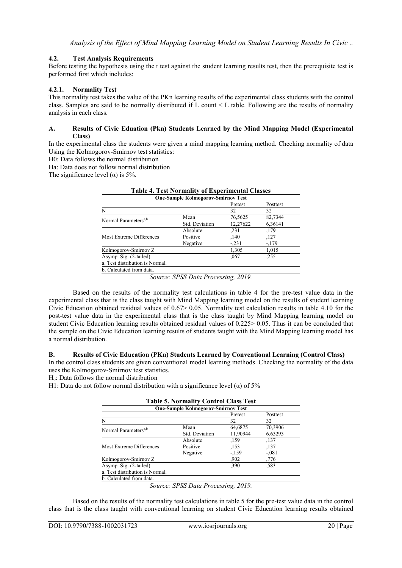## **4.2. Test Analysis Requirements**

Before testing the hypothesis using the t test against the student learning results test, then the prerequisite test is performed first which includes:

#### **4.2.1. Normality Test**

This normality test takes the value of the PKn learning results of the experimental class students with the control class. Samples are said to be normally distributed if L count < L table. Following are the results of normality analysis in each class.

#### **A. Results of Civic Eduation (Pkn) Students Learned by the Mind Mapping Model (Experimental Class)**

In the experimental class the students were given a mind mapping learning method. Checking normality of data Using the Kolmogorov-Smirnov test statistics:

H0: Data follows the normal distribution

Ha: Data does not follow normal distribution

The significance level ( $\alpha$ ) is 5%.

|                                           | Table 4. Test Normanty of Experimental Classes |          |          |  |  |
|-------------------------------------------|------------------------------------------------|----------|----------|--|--|
| <b>One-Sample Kolmogorov-Smirnov Test</b> |                                                |          |          |  |  |
|                                           |                                                | Pretest  | Posttest |  |  |
| N                                         |                                                | 32       | 32       |  |  |
| Normal Parameters <sup>a,b</sup>          | Mean                                           | 76,5625  | 82,7344  |  |  |
|                                           | Std. Deviation                                 | 12,27622 | 6,36141  |  |  |
|                                           | Absolute                                       | ,231     | ,179     |  |  |
| Most Extreme Differences                  | Positive                                       | ,140     | ,127     |  |  |
|                                           | Negative                                       | $-.231$  | $-179$   |  |  |
| Kolmogorov-Smirnov Z                      |                                                | 1,305    | 1,015    |  |  |
| Asymp. Sig. (2-tailed)                    |                                                | ,067     | .255     |  |  |
| a. Test distribution is Normal.           |                                                |          |          |  |  |
| b. Calculated from data.                  |                                                |          |          |  |  |

| <b>Table 4. Test Normality of Experimental Classes</b> |
|--------------------------------------------------------|
|                                                        |

Based on the results of the normality test calculations in table 4 for the pre-test value data in the experimental class that is the class taught with Mind Mapping learning model on the results of student learning Civic Education obtained residual values of 0.67> 0.05. Normality test calculation results in table 4.10 for the post-test value data in the experimental class that is the class taught by Mind Mapping learning model on student Civic Education learning results obtained residual values of 0.225> 0.05. Thus it can be concluded that the sample on the Civic Education learning results of students taught with the Mind Mapping learning model has a normal distribution.

## **B. Results of Civic Education (PKn) Students Learned by Conventional Learning (Control Class)**

In the control class students are given conventional model learning methods. Checking the normality of the data uses the Kolmogorov-Smirnov test statistics.

H0: Data follows the normal distribution

H1: Data do not follow normal distribution with a significance level ( $\alpha$ ) of 5%

|                                           | <b>Table 5. Normality Control Class Test</b> |          |          |  |  |  |
|-------------------------------------------|----------------------------------------------|----------|----------|--|--|--|
| <b>One-Sample Kolmogorov-Smirnov Test</b> |                                              |          |          |  |  |  |
|                                           |                                              | Pretest  | Posttest |  |  |  |
| N                                         |                                              | 32       | 32       |  |  |  |
| Normal Parameters <sup>a,b</sup>          | Mean                                         | 64,6875  | 70,3906  |  |  |  |
|                                           | Std. Deviation                               | 11,90944 | 6,63293  |  |  |  |
|                                           | Absolute                                     | ,159     | ,137     |  |  |  |
| Most Extreme Differences                  | Positive                                     | ,153     | ,137     |  |  |  |
|                                           | Negative                                     | $-159$   | $-.081$  |  |  |  |
| Kolmogorov-Smirnov Z                      |                                              | .902     | .776     |  |  |  |
| Asymp. Sig. (2-tailed)                    |                                              | ,390     | .583     |  |  |  |
| a. Test distribution is Normal.           |                                              |          |          |  |  |  |
| b. Calculated from data.                  |                                              |          |          |  |  |  |

*Source: SPSS Data Processing, 2019.*

Based on the results of the normality test calculations in table 5 for the pre-test value data in the control class that is the class taught with conventional learning on student Civic Education learning results obtained

*Source: SPSS Data Processing, 2019.*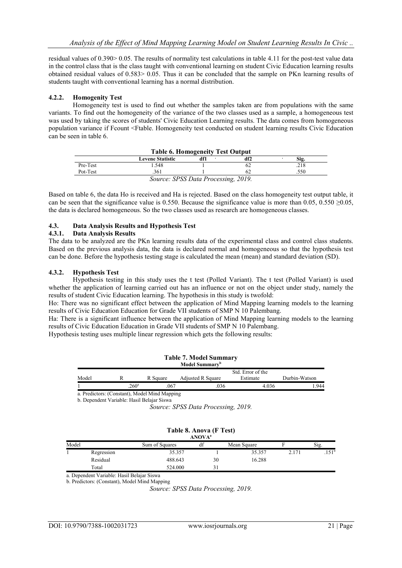residual values of 0.390> 0.05. The results of normality test calculations in table 4.11 for the post-test value data in the control class that is the class taught with conventional learning on student Civic Education learning results obtained residual values of 0.583> 0.05. Thus it can be concluded that the sample on PKn learning results of students taught with conventional learning has a normal distribution.

#### **4.2.2. Homogenity Test**

Homogeneity test is used to find out whether the samples taken are from populations with the same variants. To find out the homogeneity of the variance of the two classes used as a sample, a homogeneous test was used by taking the scores of students' Civic Education Learning results. The data comes from homogeneous population variance if Fcount <Ftable. Homogeneity test conducted on student learning results Civic Education can be seen in table 6.

| <b>Table 6. Homogeneity Test Output</b> |                         |                                                                                 |     |      |  |
|-----------------------------------------|-------------------------|---------------------------------------------------------------------------------|-----|------|--|
|                                         | <b>Levene Statistic</b> |                                                                                 | df2 | Sig. |  |
| Pre-Test                                | .548                    |                                                                                 |     | .218 |  |
| Pot-Test                                | .361                    |                                                                                 |     | .550 |  |
|                                         |                         | $\Gamma_{\text{current}}$ , CDCC $D_{\text{atm}}$ $D_{\text{measurement}}$ 2010 |     |      |  |

*Source: SPSS Data Processing, 2019.*

Based on table 6, the data Ho is received and Ha is rejected. Based on the class homogeneity test output table, it can be seen that the significance value is 0.550. Because the significance value is more than 0.05, 0.550  $\geq$ 0.05, the data is declared homogeneous. So the two classes used as research are homogeneous classes.

# **4.3. Data Analysis Results and Hypothesis Test**

#### **4.3.1. Data Analysis Results**

The data to be analyzed are the PKn learning results data of the experimental class and control class students. Based on the previous analysis data, the data is declared normal and homogeneous so that the hypothesis test can be done. Before the hypothesis testing stage is calculated the mean (mean) and standard deviation (SD).

#### **4.3.2. Hypothesis Test**

Hypothesis testing in this study uses the t test (Polled Variant). The t test (Polled Variant) is used whether the application of learning carried out has an influence or not on the object under study, namely the results of student Civic Education learning. The hypothesis in this study is twofold:

Ho: There was no significant effect between the application of Mind Mapping learning models to the learning results of Civic Education Education for Grade VII students of SMP N 10 Palembang.

Ha: There is a significant influence between the application of Mind Mapping learning models to the learning results of Civic Education Education in Grade VII students of SMP N 10 Palembang.

Hypothesis testing uses multiple linear regression which gets the following results:

| <b>Table 7. Model Summary</b> |                                               |          |                            |                   |               |
|-------------------------------|-----------------------------------------------|----------|----------------------------|-------------------|---------------|
|                               |                                               |          | Model Summary <sup>b</sup> |                   |               |
|                               |                                               |          |                            | Std. Error of the |               |
| Model                         |                                               | R Square | Adjusted R Square          | Estimate          | Durbin-Watson |
|                               | $260^{\circ}$                                 | .067     | .036                       | 4.036             | .944          |
|                               | a. Predictors: (Constant), Model Mind Mapping |          |                            |                   |               |
|                               | b. Dependent Variable: Hasil Belaiar Siswa    |          |                            |                   |               |

*Source: SPSS Data Processing, 2019.*

| Table 8. Anova (F Test)<br><b>ANOVA</b> <sup>a</sup> |            |                |    |             |       |               |
|------------------------------------------------------|------------|----------------|----|-------------|-------|---------------|
| Model                                                |            | Sum of Squares | df | Mean Square |       | Sig.          |
|                                                      | Regression | 35.357         |    | 35.357      | 2.171 | $151^{\circ}$ |
|                                                      | Residual   | 488.643        | 30 | 16.288      |       |               |
|                                                      | Total      | 524.000        |    |             |       |               |

a. Dependent Variable: Hasil Belajar Siswa b. Predictors: (Constant), Model Mind Mapping

*Source: SPSS Data Processing, 2019.*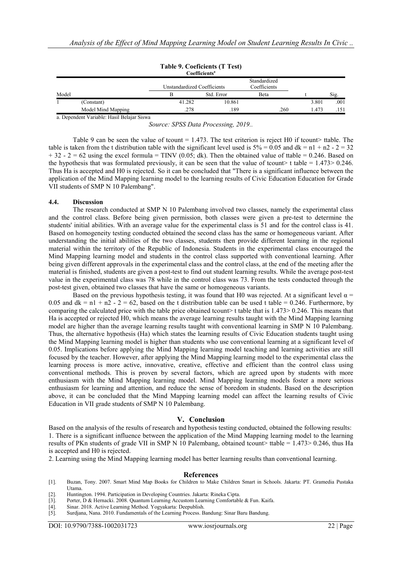|       |                    |                             | Coefficientsª |                              |       |      |
|-------|--------------------|-----------------------------|---------------|------------------------------|-------|------|
|       |                    | Unstandardized Coefficients |               | Standardized<br>Coefficients |       |      |
| Model |                    |                             | Std. Error    | Beta                         |       | Sig. |
|       | (Constant)         | 41.282                      | 10.861        |                              | 3.801 | .001 |
|       | Model Mind Mapping | .278                        | .189          | .260                         | .473  | .151 |

| Table 9. Coeficients (T Test) |  |
|-------------------------------|--|
| Coofficionte <sup>a</sup>     |  |

a. Dependent Variable: Hasil Belajar Siswa

*Source: SPSS Data Processing, 2019..*

Table 9 can be seen the value of tcount =  $1.473$ . The test criterion is reject H0 if tcount> ttable. The table is taken from the t distribution table with the significant level used is  $5\% = 0.05$  and  $dk = n1 + n2 - 2 = 32$  $+ 32 - 2 = 62$  using the excel formula = TINV (0.05; dk). Then the obtained value of ttable = 0.246. Based on the hypothesis that was formulated previously, it can be seen that the value of tcount> t table =  $1.473>0.246$ . Thus Ha is accepted and H0 is rejected. So it can be concluded that "There is a significant influence between the application of the Mind Mapping learning model to the learning results of Civic Education Education for Grade VII students of SMP N 10 Palembang".

#### **4.4. Discussion**

The research conducted at SMP N 10 Palembang involved two classes, namely the experimental class and the control class. Before being given permission, both classes were given a pre-test to determine the students' initial abilities. With an average value for the experimental class is 51 and for the control class is 41. Based on homogeneity testing conducted obtained the second class has the same or homogeneous variant. After understanding the initial abilities of the two classes, students then provide different learning in the regional material within the territory of the Republic of Indonesia. Students in the experimental class encouraged the Mind Mapping learning model and students in the control class supported with conventional learning. After being given different approvals in the experimental class and the control class, at the end of the meeting after the material is finished, students are given a post-test to find out student learning results. While the average post-test value in the experimental class was 78 while in the control class was 73. From the tests conducted through the post-test given, obtained two classes that have the same or homogeneous variants.

Based on the previous hypothesis testing, it was found that H0 was rejected. At a significant level  $\alpha$  = 0.05 and  $dk = n1 + n2 - 2 = 62$ , based on the t distribution table can be used t table = 0.246. Furthermore, by comparing the calculated price with the table price obtained tcount> t table that is 1.473> 0.246. This means that Ha is accepted or rejected H0, which means the average learning results taught with the Mind Mapping learning model are higher than the average learning results taught with conventional learning in SMP N 10 Palembang. Thus, the alternative hypothesis (Ha) which states the learning results of Civic Education students taught using the Mind Mapping learning model is higher than students who use conventional learning at a significant level of 0.05. Implications before applying the Mind Mapping learning model teaching and learning activities are still focused by the teacher. However, after applying the Mind Mapping learning model to the experimental class the learning process is more active, innovative, creative, effective and efficient than the control class using conventional methods. This is proven by several factors, which are agreed upon by students with more enthusiasm with the Mind Mapping learning model. Mind Mapping learning models foster a more serious enthusiasm for learning and attention, and reduce the sense of boredom in students. Based on the description above, it can be concluded that the Mind Mapping learning model can affect the learning results of Civic Education in VII grade students of SMP N 10 Palembang.

#### **V. Conclusion**

Based on the analysis of the results of research and hypothesis testing conducted, obtained the following results: 1. There is a significant influence between the application of the Mind Mapping learning model to the learning results of PKn students of grade VII in SMP N 10 Palembang, obtained tcount> ttable =  $1.473 > 0.246$ , thus Ha is accepted and H0 is rejected.

2. Learning using the Mind Mapping learning model has better learning results than conventional learning.

#### **References**

- [1]. Buzan, Tony. 2007. Smart Mind Map Books for Children to Make Children Smart in Schools. Jakarta: PT. Gramedia Pustaka Utama.
- [2]. Huntington. 1994. Participation in Developing Countries. Jakarta: Rineka Cipta.
- Porter, D & Hernacki. 2008. Quantum Learning Accustom Learning Comfortable & Fun. Kaifa.
- [4]. Sinar. 2018. Active Learning Method. Yogyakarta: Deepublish. Surdjana, Nana. 2010. Fundamentals of the Learning Process. Bandung: Sinar Baru Bandung.